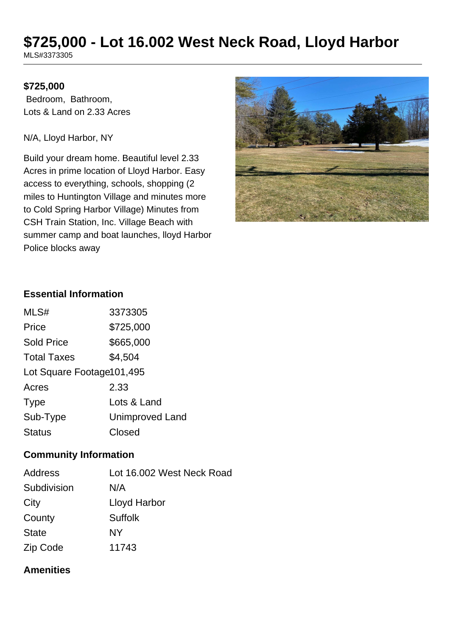# **\$725,000 - Lot 16.002 West Neck Road, Lloyd Harbor**

MLS#3373305

### **\$725,000**

 Bedroom, Bathroom, Lots & Land on 2.33 Acres

N/A, Lloyd Harbor, NY

Build your dream home. Beautiful level 2.33 Acres in prime location of Lloyd Harbor. Easy access to everything, schools, shopping (2 miles to Huntington Village and minutes more to Cold Spring Harbor Village) Minutes from CSH Train Station, Inc. Village Beach with summer camp and boat launches, lloyd Harbor Police blocks away



### **Essential Information**

| MLS#                       | 3373305                |  |
|----------------------------|------------------------|--|
| Price                      | \$725,000              |  |
| <b>Sold Price</b>          | \$665,000              |  |
| <b>Total Taxes</b>         | \$4,504                |  |
| Lot Square Footage 101,495 |                        |  |
| Acres                      | 2.33                   |  |
| <b>Type</b>                | Lots & Land            |  |
| Sub-Type                   | <b>Unimproved Land</b> |  |
| <b>Status</b>              | Closed                 |  |

### **Community Information**

| <b>Address</b> | Lot 16.002 West Neck Road |
|----------------|---------------------------|
| Subdivision    | N/A                       |
| City           | Lloyd Harbor              |
| County         | <b>Suffolk</b>            |
| <b>State</b>   | NΥ                        |
| Zip Code       | 11743                     |

### **Amenities**